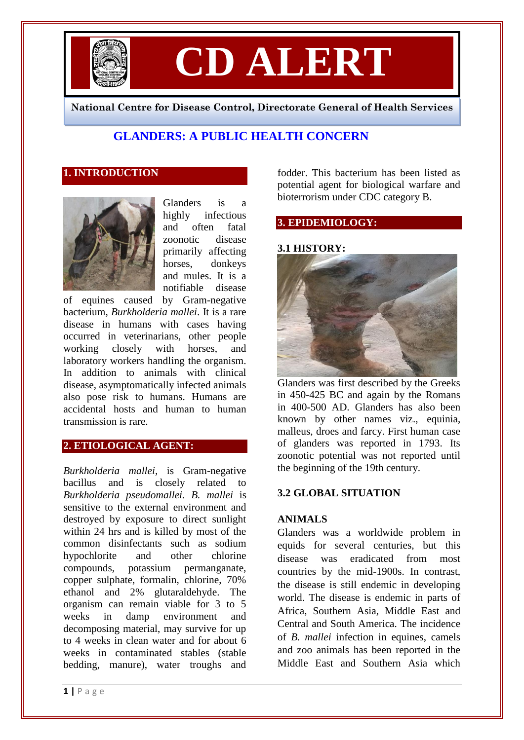

# **CD ALERT**

**National Centre for Disease Control, Directorate General of Health Services**

## **GLANDERS: A PUBLIC HEALTH CONCERN**

### **1. INTRODUCTION**



Glanders is a highly infectious and often fatal zoonotic disease primarily affecting horses, donkeys and mules. It is a notifiable disease

of equines caused by Gram-negative bacterium, *Burkholderia mallei*. It is a rare disease in humans with cases having occurred in veterinarians, other people working closely with horses, and laboratory workers handling the organism. In addition to animals with clinical disease, asymptomatically infected animals also pose risk to humans. Humans are accidental hosts and human to human transmission is rare.

## **2. ETIOLOGICAL AGENT:**

*Burkholderia mallei,* is Gram-negative bacillus and is closely related to *Burkholderia pseudomallei. B. mallei* is sensitive to the external environment and destroyed by exposure to direct sunlight within 24 hrs and is killed by most of the common disinfectants such as sodium hypochlorite and other chlorine compounds, potassium permanganate, copper sulphate, formalin, chlorine, 70% ethanol and 2% glutaraldehyde. The organism can remain viable for 3 to 5 weeks in damp environment and decomposing material, may survive for up to 4 weeks in clean water and for about 6 weeks in contaminated stables (stable bedding, manure), water troughs and

fodder. This bacterium has been listed as potential agent for biological warfare and bioterrorism under CDC category B.

## **3. EPIDEMIOLOGY:**

#### **3.1 HISTORY:**



Glanders was first described by the Greeks in 450-425 BC and again by the Romans in 400-500 AD. Glanders has also been known by other names viz., equinia, malleus, droes and farcy. First human case of glanders was reported in 1793. Its zoonotic potential was not reported until the beginning of the 19th century.

#### **3.2 GLOBAL SITUATION**

#### **ANIMALS**

Glanders was a worldwide problem in equids for several centuries, but this disease was eradicated from most countries by the mid-1900s. In contrast, the disease is still endemic in developing world. The disease is endemic in parts of Africa, Southern Asia, Middle East and Central and South America. The incidence of *B. mallei* infection in equines, camels and zoo animals has been reported in the Middle East and Southern Asia which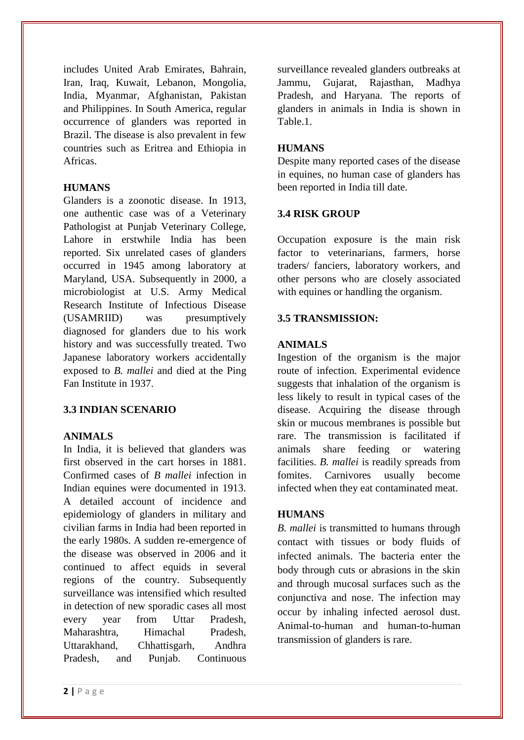includes United Arab Emirates, Bahrain, Iran, Iraq, Kuwait, Lebanon, Mongolia, India, Myanmar, Afghanistan, Pakistan and Philippines. In South America, regular occurrence of glanders was reported in Brazil. The disease is also prevalent in few countries such as Eritrea and Ethiopia in Africas.

#### **HUMANS**

Glanders is a zoonotic disease. In 1913, one authentic case was of a Veterinary Pathologist at Punjab Veterinary College, Lahore in erstwhile India has been reported. Six unrelated cases of glanders occurred in 1945 among laboratory at Maryland, USA. Subsequently in 2000, a microbiologist at U.S. Army Medical Research Institute of Infectious Disease (USAMRIID) was presumptively diagnosed for glanders due to his work history and was successfully treated. Two Japanese laboratory workers accidentally exposed to *B. mallei* and died at the Ping Fan Institute in 1937.

## **3.3 INDIAN SCENARIO**

#### **ANIMALS**

In India, it is believed that glanders was first observed in the cart horses in 1881. Confirmed cases of *B mallei* infection in Indian equines were documented in 1913. A detailed account of incidence and epidemiology of glanders in military and civilian farms in India had been reported in the early 1980s. A sudden re-emergence of the disease was observed in 2006 and it continued to affect equids in several regions of the country. Subsequently surveillance was intensified which resulted in detection of new sporadic cases all most every year from Uttar Pradesh, Maharashtra, Himachal Pradesh, Uttarakhand, Chhattisgarh, Andhra Pradesh, and Punjab. Continuous

#### **HUMANS**

Despite many reported cases of the disease in equines, no human case of glanders has been reported in India till date.

## **3.4 RISK GROUP**

Occupation exposure is the main risk factor to veterinarians, farmers, horse traders/ fanciers, laboratory workers, and other persons who are closely associated with equines or handling the organism.

## **3.5 TRANSMISSION:**

#### **ANIMALS**

Ingestion of the organism is the major route of infection. Experimental evidence suggests that inhalation of the organism is less likely to result in typical cases of the disease. Acquiring the disease through skin or mucous membranes is possible but rare. The transmission is facilitated if animals share feeding or watering facilities. *B. mallei* is readily spreads from fomites. Carnivores usually become infected when they eat contaminated meat.

#### **HUMANS**

*B. mallei* is transmitted to humans through contact with tissues or body fluids of infected animals. The bacteria enter the body through cuts or abrasions in the skin and through mucosal surfaces such as the conjunctiva and nose. The infection may occur by inhaling infected aerosol dust. Animal-to-human and human-to-human transmission of glanders is rare.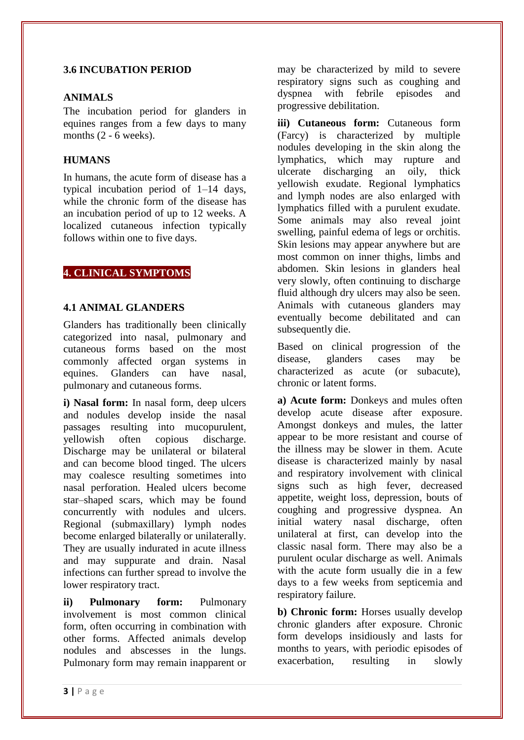#### **3.6 INCUBATION PERIOD**

#### **ANIMALS**

The incubation period for glanders in equines ranges from a few days to many months  $(2 - 6$  weeks).

## **HUMANS**

In humans, the acute form of disease has a typical incubation period of 1–14 days, while the chronic form of the disease has an incubation period of up to 12 weeks. A localized cutaneous infection typically follows within one to five days.

## **4. CLINICAL SYMPTOMS**

#### **4.1 ANIMAL GLANDERS**

Glanders has traditionally been clinically categorized into nasal, pulmonary and cutaneous forms based on the most commonly affected organ systems in equines. Glanders can have nasal, pulmonary and cutaneous forms.

**i) Nasal form:** In nasal form, deep ulcers and nodules develop inside the nasal passages resulting into mucopurulent, yellowish often copious discharge. Discharge may be unilateral or bilateral and can become blood tinged. The ulcers may coalesce resulting sometimes into nasal perforation. Healed ulcers become star–shaped scars, which may be found concurrently with nodules and ulcers. Regional (submaxillary) lymph nodes become enlarged bilaterally or unilaterally. They are usually indurated in acute illness and may suppurate and drain. Nasal infections can further spread to involve the lower respiratory tract.

**ii) Pulmonary form:** Pulmonary involvement is most common clinical form, often occurring in combination with other forms. Affected animals develop nodules and abscesses in the lungs. Pulmonary form may remain inapparent or may be characterized by mild to severe respiratory signs such as coughing and dyspnea with febrile episodes and progressive debilitation.

**iii) Cutaneous form:** Cutaneous form (Farcy) is characterized by multiple nodules developing in the skin along the lymphatics, which may rupture and ulcerate discharging an oily, thick yellowish exudate. Regional lymphatics and lymph nodes are also enlarged with lymphatics filled with a purulent exudate. Some animals may also reveal joint swelling, painful edema of legs or orchitis. Skin lesions may appear anywhere but are most common on inner thighs, limbs and abdomen. Skin lesions in glanders heal very slowly, often continuing to discharge fluid although dry ulcers may also be seen. Animals with cutaneous glanders may eventually become debilitated and can subsequently die.

Based on clinical progression of the disease, glanders cases may be characterized as acute (or subacute), chronic or latent forms.

**a) Acute form:** Donkeys and mules often develop acute disease after exposure. Amongst donkeys and mules, the latter appear to be more resistant and course of the illness may be slower in them. Acute disease is characterized mainly by nasal and respiratory involvement with clinical signs such as high fever, decreased appetite, weight loss, depression, bouts of coughing and progressive dyspnea. An initial watery nasal discharge, often unilateral at first, can develop into the classic nasal form. There may also be a purulent ocular discharge as well. Animals with the acute form usually die in a few days to a few weeks from septicemia and respiratory failure.

**b) Chronic form:** Horses usually develop chronic glanders after exposure. Chronic form develops insidiously and lasts for months to years, with periodic episodes of exacerbation, resulting in slowly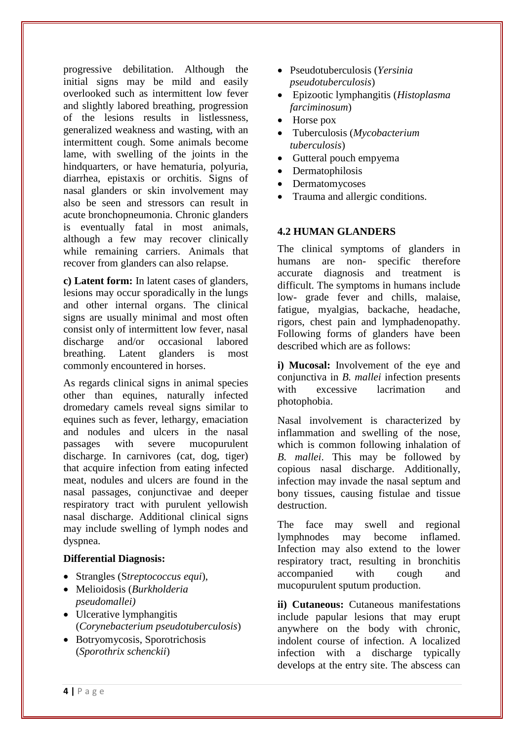progressive debilitation. Although the initial signs may be mild and easily overlooked such as intermittent low fever and slightly labored breathing, progression of the lesions results in listlessness, generalized weakness and wasting, with an intermittent cough. Some animals become lame, with swelling of the joints in the hindquarters, or have hematuria, polyuria, diarrhea, epistaxis or orchitis. Signs of nasal glanders or skin involvement may also be seen and stressors can result in acute bronchopneumonia. Chronic glanders is eventually fatal in most animals, although a few may recover clinically while remaining carriers. Animals that recover from glanders can also relapse.

**c) Latent form:** In latent cases of glanders, lesions may occur sporadically in the lungs and other internal organs. The clinical signs are usually minimal and most often consist only of intermittent low fever, nasal discharge and/or occasional labored breathing. Latent glanders is most commonly encountered in horses.

As regards clinical signs in animal species other than equines, naturally infected dromedary camels reveal signs similar to equines such as fever, lethargy, emaciation and nodules and ulcers in the nasal passages with severe mucopurulent discharge. In carnivores (cat, dog, tiger) that acquire infection from eating infected meat, nodules and ulcers are found in the nasal passages, conjunctivae and deeper respiratory tract with purulent yellowish nasal discharge. Additional clinical signs may include swelling of lymph nodes and dyspnea.

#### **Differential Diagnosis:**

- Strangles (S*treptococcus equi*),
- Melioidosis (*Burkholderia pseudomallei)*
- Ulcerative lymphangitis (*Corynebacterium pseudotuberculosis*)
- Botryomycosis, Sporotrichosis (*Sporothrix schenckii*)
- Pseudotuberculosis (*Yersinia pseudotuberculosis*)
- Epizootic lymphangitis (*Histoplasma farciminosum*)
- Horse pox
- Tuberculosis (*Mycobacterium tuberculosis*)
- Gutteral pouch empyema
- Dermatophilosis
- Dermatomycoses
- Trauma and allergic conditions.

#### **4.2 HUMAN GLANDERS**

The clinical symptoms of glanders in humans are non- specific therefore accurate diagnosis and treatment is difficult. The symptoms in humans include low- grade fever and chills, malaise, fatigue, myalgias, backache, headache, rigors, chest pain and lymphadenopathy. Following forms of glanders have been described which are as follows:

**i)** Mucosal: Involvement of the eye and conjunctiva in *B. mallei* infection presents with excessive lacrimation and photophobia.

Nasal involvement is characterized by inflammation and swelling of the nose, which is common following inhalation of *B. mallei*. This may be followed by copious nasal discharge. Additionally, infection may invade the nasal septum and bony tissues, causing fistulae and tissue destruction.

The face may swell and regional lymphnodes may become inflamed. Infection may also extend to the lower respiratory tract, resulting in bronchitis accompanied with cough and mucopurulent sputum production.

**ii) Cutaneous:** Cutaneous manifestations include papular lesions that may erupt anywhere on the body with chronic, indolent course of infection. A localized infection with a discharge typically develops at the entry site. The abscess can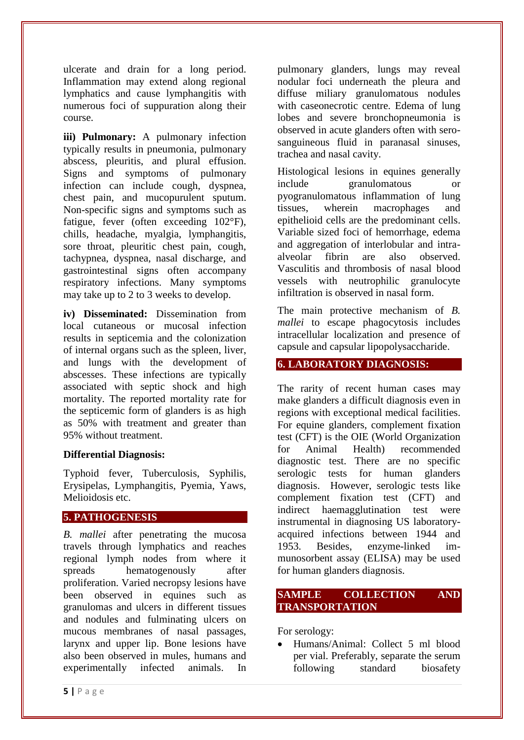ulcerate and drain for a long period. Inflammation may extend along regional lymphatics and cause lymphangitis with numerous foci of suppuration along their course.

**iii) Pulmonary:** A pulmonary infection typically results in pneumonia, pulmonary abscess, pleuritis, and plural effusion. Signs and symptoms of pulmonary infection can include cough, dyspnea, chest pain, and mucopurulent sputum. Non-specific signs and symptoms such as fatigue, fever (often exceeding 102°F), chills, headache, myalgia, lymphangitis, sore throat, pleuritic chest pain, cough, tachypnea, dyspnea, nasal discharge, and gastrointestinal signs often accompany respiratory infections. Many symptoms may take up to 2 to 3 weeks to develop.

**iv) Disseminated:** Dissemination from local cutaneous or mucosal infection results in septicemia and the colonization of internal organs such as the spleen, liver, and lungs with the development of abscesses. These infections are typically associated with septic shock and high mortality. The reported mortality rate for the septicemic form of glanders is as high as 50% with treatment and greater than 95% without treatment.

#### **Differential Diagnosis:**

Typhoid fever, Tuberculosis, Syphilis, Erysipelas, Lymphangitis, Pyemia, Yaws, Melioidosis etc.

#### **5. PATHOGENESIS**

*B. mallei* after penetrating the mucosa travels through lymphatics and reaches regional lymph nodes from where it spreads hematogenously after proliferation. Varied necropsy lesions have been observed in equines such as granulomas and ulcers in different tissues and nodules and fulminating ulcers on mucous membranes of nasal passages, larynx and upper lip. Bone lesions have also been observed in mules, humans and experimentally infected animals. In

pulmonary glanders, lungs may reveal nodular foci underneath the pleura and diffuse miliary granulomatous nodules with caseonecrotic centre. Edema of lung lobes and severe bronchopneumonia is observed in acute glanders often with serosanguineous fluid in paranasal sinuses, trachea and nasal cavity.

Histological lesions in equines generally include granulomatous or pyogranulomatous inflammation of lung tissues, wherein macrophages and epithelioid cells are the predominant cells. Variable sized foci of hemorrhage, edema and aggregation of interlobular and intraalveolar fibrin are also observed. Vasculitis and thrombosis of nasal blood vessels with neutrophilic granulocyte infiltration is observed in nasal form.

The main protective mechanism of *B. mallei* to escape phagocytosis includes intracellular localization and presence of capsule and capsular lipopolysaccharide.

## **6. LABORATORY DIAGNOSIS:**

The rarity of recent human cases may make glanders a difficult diagnosis even in regions with exceptional medical facilities. For equine glanders, complement fixation test (CFT) is the OIE (World Organization for Animal Health) recommended diagnostic test. There are no specific serologic tests for human glanders diagnosis. However, serologic tests like complement fixation test (CFT) and indirect haemagglutination test were instrumental in diagnosing US laboratoryacquired infections between 1944 and 1953. Besides, enzyme-linked immunosorbent assay (ELISA) may be used for human glanders diagnosis.

#### **SAMPLE COLLECTION AND TRANSPORTATION**

For serology:

 Humans/Animal: Collect 5 ml blood per vial. Preferably, separate the serum following standard biosafety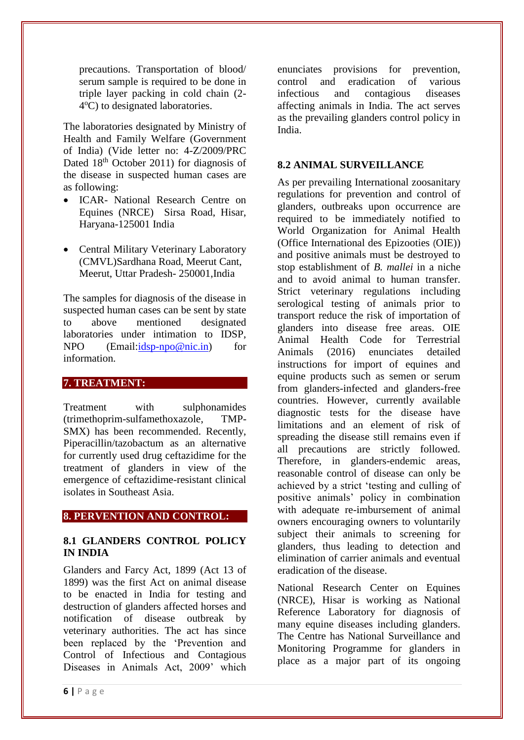precautions. Transportation of blood/ serum sample is required to be done in triple layer packing in cold chain (2- 4°C) to designated laboratories.

The laboratories designated by Ministry of Health and Family Welfare (Government of India) (Vide letter no: 4-Z/2009/PRC Dated 18<sup>th</sup> October 2011) for diagnosis of the disease in suspected human cases are as following:

- ICAR- National Research Centre on Equines (NRCE) Sirsa Road, Hisar, Haryana-125001 India
- Central Military Veterinary Laboratory (CMVL)Sardhana Road, Meerut Cant, Meerut, Uttar Pradesh- 250001,India

The samples for diagnosis of the disease in suspected human cases can be sent by state to above mentioned designated laboratories under intimation to IDSP, NPO (Email[:idsp-npo@nic.in\)](mailto:idsp-npo@nic.in) for information.

#### **7. TREATMENT:**

Treatment with sulphonamides (trimethoprim-sulfamethoxazole, TMP-SMX) has been recommended. Recently, Piperacillin/tazobactum as an alternative for currently used drug ceftazidime for the treatment of glanders in view of the emergence of ceftazidime-resistant clinical isolates in Southeast Asia.

#### **8. PERVENTION AND CONTROL:**

#### **8.1 GLANDERS CONTROL POLICY IN INDIA**

Glanders and Farcy Act, 1899 (Act 13 of 1899) was the first Act on animal disease to be enacted in India for testing and destruction of glanders affected horses and notification of disease outbreak by veterinary authorities. The act has since been replaced by the 'Prevention and Control of Infectious and Contagious Diseases in Animals Act, 2009' which enunciates provisions for prevention, control and eradication of various infectious and contagious diseases affecting animals in India. The act serves as the prevailing glanders control policy in India.

#### **8.2 ANIMAL SURVEILLANCE**

As per prevailing International zoosanitary regulations for prevention and control of glanders, outbreaks upon occurrence are required to be immediately notified to World Organization for Animal Health (Office International des Epizooties (OIE)) and positive animals must be destroyed to stop establishment of *B. mallei* in a niche and to avoid animal to human transfer. Strict veterinary regulations including serological testing of animals prior to transport reduce the risk of importation of glanders into disease free areas. OIE Animal Health Code for Terrestrial Animals (2016) enunciates detailed instructions for import of equines and equine products such as semen or serum from glanders-infected and glanders-free countries. However, currently available diagnostic tests for the disease have limitations and an element of risk of spreading the disease still remains even if all precautions are strictly followed. Therefore, in glanders-endemic areas, reasonable control of disease can only be achieved by a strict 'testing and culling of positive animals' policy in combination with adequate re-imbursement of animal owners encouraging owners to voluntarily subject their animals to screening for glanders, thus leading to detection and elimination of carrier animals and eventual eradication of the disease.

National Research Center on Equines (NRCE), Hisar is working as National Reference Laboratory for diagnosis of many equine diseases including glanders. The Centre has National Surveillance and Monitoring Programme for glanders in place as a major part of its ongoing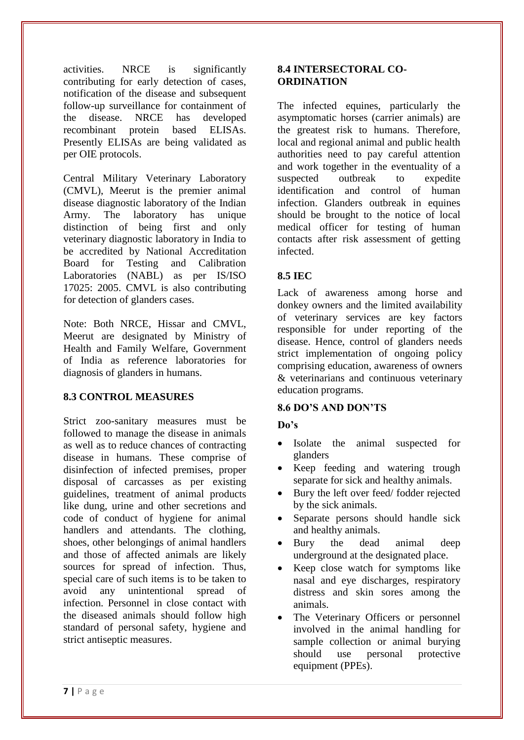activities. NRCE is significantly contributing for early detection of cases, notification of the disease and subsequent follow-up surveillance for containment of the disease. NRCE has developed recombinant protein based ELISAs. Presently ELISAs are being validated as per OIE protocols.

Central Military Veterinary Laboratory (CMVL), Meerut is the premier animal disease diagnostic laboratory of the Indian Army. The laboratory has unique distinction of being first and only veterinary diagnostic laboratory in India to be accredited by National Accreditation Board for Testing and Calibration Laboratories (NABL) as per IS/ISO 17025: 2005. CMVL is also contributing for detection of glanders cases.

Note: Both NRCE, Hissar and CMVL, Meerut are designated by Ministry of Health and Family Welfare, Government of India as reference laboratories for diagnosis of glanders in humans.

#### **8.3 CONTROL MEASURES**

Strict zoo-sanitary measures must be followed to manage the disease in animals as well as to reduce chances of contracting disease in humans. These comprise of disinfection of infected premises, proper disposal of carcasses as per existing guidelines, treatment of animal products like dung, urine and other secretions and code of conduct of hygiene for animal handlers and attendants. The clothing, shoes, other belongings of animal handlers and those of affected animals are likely sources for spread of infection. Thus, special care of such items is to be taken to avoid any unintentional spread of infection. Personnel in close contact with the diseased animals should follow high standard of personal safety, hygiene and strict antiseptic measures.

#### **8.4 INTERSECTORAL CO-ORDINATION**

The infected equines, particularly the asymptomatic horses (carrier animals) are the greatest risk to humans. Therefore, local and regional animal and public health authorities need to pay careful attention and work together in the eventuality of a suspected outbreak to expedite identification and control of human infection. Glanders outbreak in equines should be brought to the notice of local medical officer for testing of human contacts after risk assessment of getting infected.

## **8.5 IEC**

Lack of awareness among horse and donkey owners and the limited availability of veterinary services are key factors responsible for under reporting of the disease. Hence, control of glanders needs strict implementation of ongoing policy comprising education, awareness of owners & veterinarians and continuous veterinary education programs.

#### **8.6 DO'S AND DON'TS**

## **Do's**

- Isolate the animal suspected for glanders
- Keep feeding and watering trough separate for sick and healthy animals.
- Bury the left over feed/ fodder rejected by the sick animals.
- Separate persons should handle sick and healthy animals.
- Bury the dead animal deep underground at the designated place.
- Keep close watch for symptoms like nasal and eye discharges, respiratory distress and skin sores among the animals.
- The Veterinary Officers or personnel involved in the animal handling for sample collection or animal burying should use personal protective equipment (PPEs).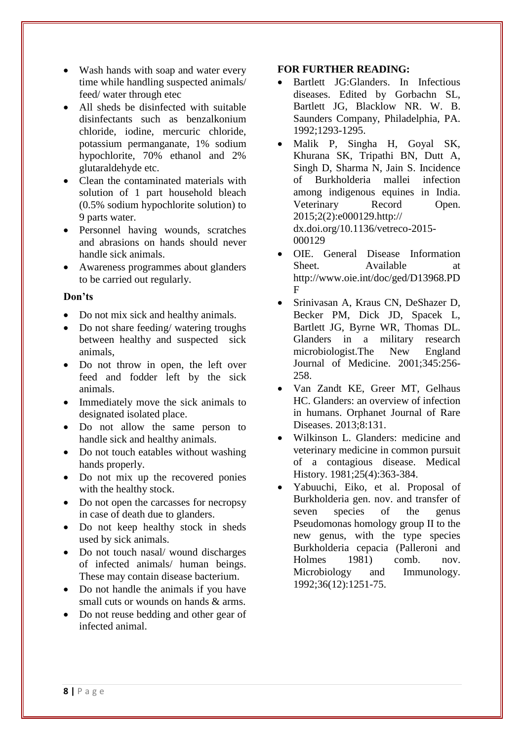- Wash hands with soap and water every time while handling suspected animals/ feed/ water through etec
- All sheds be disinfected with suitable disinfectants such as benzalkonium chloride, iodine, mercuric chloride, potassium permanganate, 1% sodium hypochlorite, 70% ethanol and 2% glutaraldehyde etc.
- Clean the contaminated materials with solution of 1 part household bleach (0.5% sodium hypochlorite solution) to 9 parts water.
- Personnel having wounds, scratches and abrasions on hands should never handle sick animals.
- Awareness programmes about glanders to be carried out regularly.

#### **Don'ts**

- Do not mix sick and healthy animals.
- Do not share feeding/ watering troughs between healthy and suspected sick animals,
- Do not throw in open, the left over feed and fodder left by the sick animals.
- Immediately move the sick animals to designated isolated place.
- Do not allow the same person to handle sick and healthy animals.
- Do not touch eatables without washing hands properly.
- Do not mix up the recovered ponies with the healthy stock.
- Do not open the carcasses for necropsy in case of death due to glanders.
- Do not keep healthy stock in sheds used by sick animals.
- Do not touch nasal/wound discharges of infected animals/ human beings. These may contain disease bacterium.
- Do not handle the animals if you have small cuts or wounds on hands & arms.
- Do not reuse bedding and other gear of infected animal.

#### **FOR FURTHER READING:**

- Bartlett JG:Glanders. In Infectious diseases. Edited by Gorbachn SL, Bartlett JG, Blacklow NR. W. B. Saunders Company, Philadelphia, PA. 1992;1293-1295.
- Malik P, Singha H, Goyal SK, Khurana SK, Tripathi BN, Dutt A, Singh D, Sharma N, Jain S. Incidence of Burkholderia mallei infection among indigenous equines in India. Veterinary Record Open. 2015;2(2):e000129.http:// dx.doi.org/10.1136/vetreco-2015- 000129
- OIE. General Disease Information Sheet. Available at http://www.oie.int/doc/ged/D13968.PD F
- Srinivasan A, Kraus CN, DeShazer D, Becker PM, Dick JD, Spacek L, Bartlett JG, Byrne WR, Thomas DL. Glanders in a military research microbiologist.The New England Journal of Medicine. 2001;345:256- 258.
- Van Zandt KE, Greer MT, Gelhaus HC. Glanders: an overview of infection in humans. Orphanet Journal of Rare Diseases. 2013;8:131.
- Wilkinson L. Glanders: medicine and veterinary medicine in common pursuit of a contagious disease. Medical History. 1981;25(4):363-384.
- Yabuuchi, Eiko, et al. Proposal of Burkholderia gen. nov. and transfer of seven species of the genus Pseudomonas homology group II to the new genus, with the type species Burkholderia cepacia (Palleroni and Holmes 1981) comb. nov. Microbiology and Immunology. 1992;36(12):1251-75.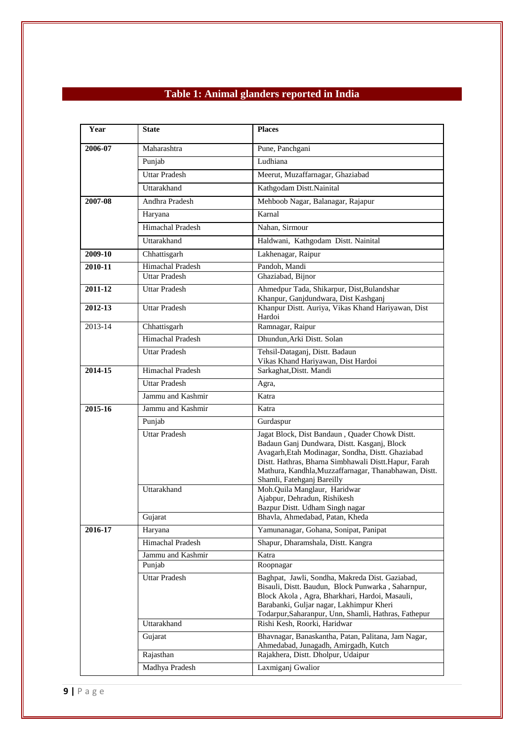## **Table 1: Animal glanders reported in India**

| Year    | State                          | <b>Places</b>                                                                                             |
|---------|--------------------------------|-----------------------------------------------------------------------------------------------------------|
| 2006-07 | Maharashtra                    | Pune, Panchgani                                                                                           |
|         | Punjab                         | Ludhiana                                                                                                  |
|         | <b>Uttar Pradesh</b>           | Meerut, Muzaffarnagar, Ghaziabad                                                                          |
|         | Uttarakhand                    | Kathgodam Distt.Nainital                                                                                  |
| 2007-08 | Andhra Pradesh                 | Mehboob Nagar, Balanagar, Rajapur                                                                         |
|         | Haryana                        | Karnal                                                                                                    |
|         | Himachal Pradesh               | Nahan, Sirmour                                                                                            |
|         | Uttarakhand                    | Haldwani, Kathgodam Distt. Nainital                                                                       |
| 2009-10 | Chhattisgarh                   | Lakhenagar, Raipur                                                                                        |
| 2010-11 | Himachal Pradesh               | Pandoh, Mandi                                                                                             |
|         | <b>Uttar Pradesh</b>           | Ghaziabad, Bijnor                                                                                         |
| 2011-12 | <b>Uttar Pradesh</b>           | Ahmedpur Tada, Shikarpur, Dist, Bulandshar<br>Khanpur, Ganjdundwara, Dist Kashganj                        |
| 2012-13 | <b>Uttar Pradesh</b>           | Khanpur Distt. Auriya, Vikas Khand Hariyawan, Dist<br>Hardoi                                              |
| 2013-14 | Chhattisgarh                   | Ramnagar, Raipur                                                                                          |
|         | Himachal Pradesh               | Dhundun, Arki Distt. Solan                                                                                |
|         | <b>Uttar Pradesh</b>           | Tehsil-Dataganj, Distt. Badaun                                                                            |
| 2014-15 | Himachal Pradesh               | Vikas Khand Hariyawan, Dist Hardoi<br>Sarkaghat, Distt. Mandi                                             |
|         | <b>Uttar Pradesh</b>           | Agra,                                                                                                     |
|         | Jammu and Kashmir              | Katra                                                                                                     |
| 2015-16 | Jammu and Kashmir              | Katra                                                                                                     |
|         | Punjab                         | Gurdaspur                                                                                                 |
|         | <b>Uttar Pradesh</b>           | Jagat Block, Dist Bandaun, Quader Chowk Distt.                                                            |
|         |                                | Badaun Ganj Dundwara, Distt. Kasganj, Block                                                               |
|         |                                | Avagarh, Etah Modinagar, Sondha, Distt. Ghaziabad<br>Distt. Hathras, Bharna Simbhawali Distt.Hapur, Farah |
|         |                                | Mathura, Kandhla, Muzzaffarnagar, Thanabhawan, Distt.                                                     |
|         | Uttarakhand                    | Shamli, Fatehganj Bareilly                                                                                |
|         |                                | Moh.Quila Manglaur, Haridwar<br>Ajabpur, Dehradun, Rishikesh                                              |
|         |                                | Bazpur Distt. Udham Singh nagar                                                                           |
|         | Gujarat                        | Bhavla, Ahmedabad, Patan, Kheda                                                                           |
| 2016-17 | Haryana                        | Yamunanagar, Gohana, Sonipat, Panipat                                                                     |
|         | Himachal Pradesh               | Shapur, Dharamshala, Distt. Kangra                                                                        |
|         | Jammu and Kashmir              | Katra<br>Roopnagar                                                                                        |
|         | Punjab<br><b>Uttar Pradesh</b> | Baghpat, Jawli, Sondha, Makreda Dist. Gaziabad,                                                           |
|         |                                | Bisauli, Distt. Baudun, Block Punwarka, Saharnpur,                                                        |
|         |                                | Block Akola, Agra, Bharkhari, Hardoi, Masauli,                                                            |
|         |                                | Barabanki, Guljar nagar, Lakhimpur Kheri<br>Todarpur, Saharanpur, Unn, Shamli, Hathras, Fathepur          |
|         | Uttarakhand                    | Rishi Kesh, Roorki, Haridwar                                                                              |
|         | Gujarat                        | Bhavnagar, Banaskantha, Patan, Palitana, Jam Nagar,<br>Ahmedabad, Junagadh, Amirgadh, Kutch               |
|         | Rajasthan                      | Rajakhera, Distt. Dholpur, Udaipur                                                                        |
|         | Madhya Pradesh                 | Laxmiganj Gwalior                                                                                         |